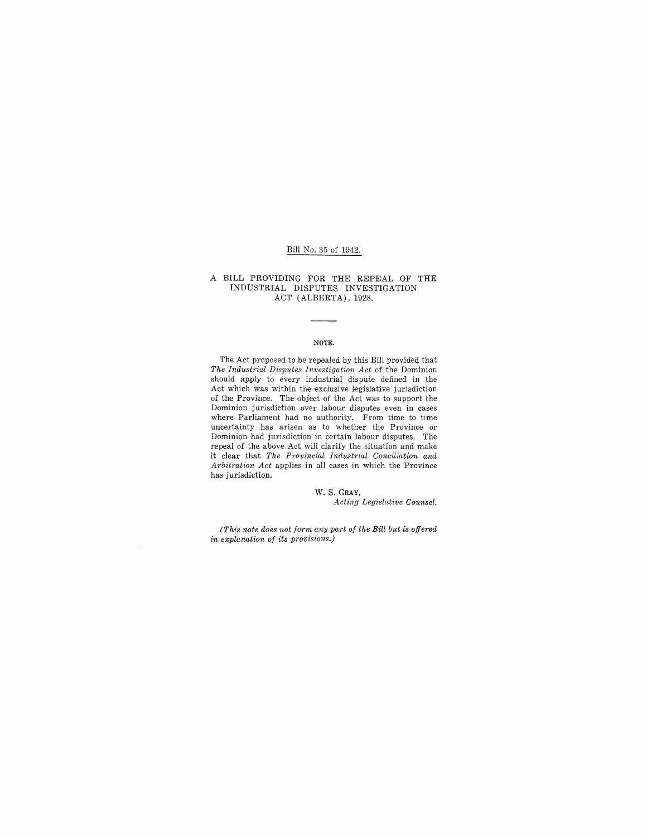## Bill No. 35 of 1942.

### A BILL PROVIDING FOR THE REPEAL OF THE INDUSTRIAL DISPUTES INVESTIGATION ACT (ALBERTA), 1928.

#### NOTE.

The Act proposed to be repealed by this Bill provided that *The Industrial Disputes Investigation Act* of the Dominion should apply to every industrial dispute defined in the Act which was within the exclusive legislative jurisdiction of the Province. The object of the Act was to support the Dominion jurisdiction over labour disputes even in cases where Parliament had no authority. From time to time uncertainty has arisen as to whether the Province or Dominion had jurisdiction in certain labour disputes. The repeal of the above Act will clarify the situation and make it clear that *The Provincial Industrial Conciliation and Arbitration Act* applies in all cases in which the Province has jurisdiction.

W. S. GRAY,

*Acting Legislative Counse.l.* 

*(This note does not form any part of the Bill but is offered in explanation of its provisions.)*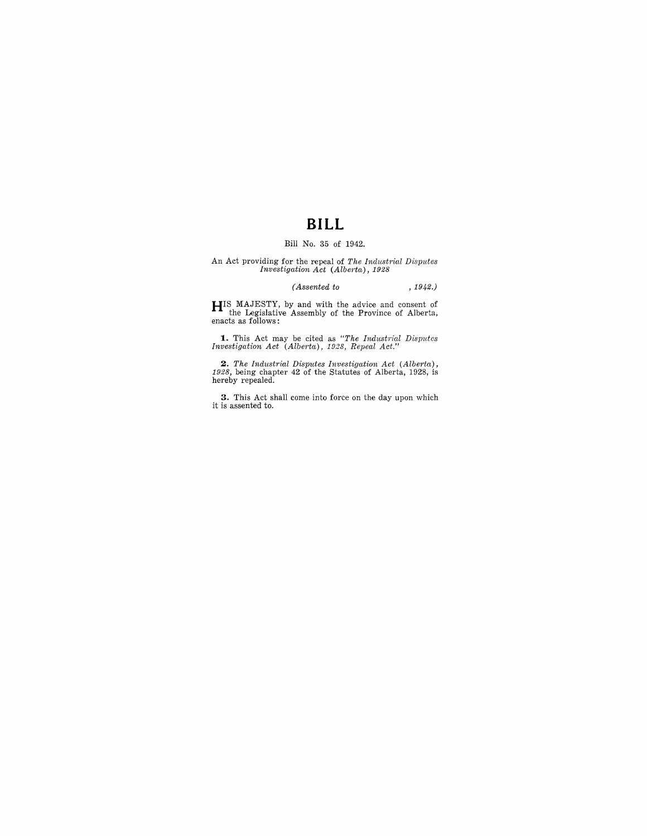# **BILL**

## Bill No. 35 of 1942.

An Act providing for the repeal of *The Industrial Disputes Investigation Act (Alberta,)* , 1928

### *(Assented to* , 1942.)

**HIS MAJESTY, by and with the advice and consent of the Legislative Assembly of the Province of Alberta, enacts as follows:** 

**1.** This Act may be cited as *"The Industrial Disputes Investigation Act (Alberta), 1928, Repeal Act."* 

**2.** The Industrial Disputes Investigation Act (Alberta), 1928, being chapter 42 of the Statutes of Alberta, 1928, is hereby repealed.

**3.** This Act shall come into force on the day upon which it is assented to.